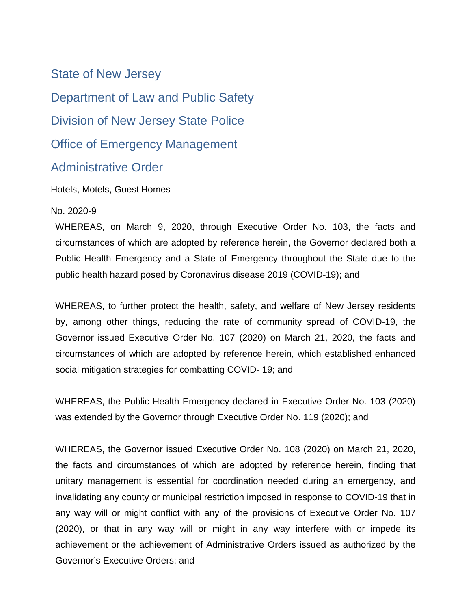State of New Jersey Department of Law and Public Safety Division of New Jersey State Police Office of Emergency Management Administrative Order

Hotels, Motels, Guest Homes

## No. 2020-9

WHEREAS, on March 9, 2020, through Executive Order No. 103, the facts and circumstances of which are adopted by reference herein, the Governor declared both a Public Health Emergency and a State of Emergency throughout the State due to the public health hazard posed by Coronavirus disease 2019 (COVID-19); and

WHEREAS, to further protect the health, safety, and welfare of New Jersey residents by, among other things, reducing the rate of community spread of COVID-19, the Governor issued Executive Order No. 107 (2020) on March 21, 2020, the facts and circumstances of which are adopted by reference herein, which established enhanced social mitigation strategies for combatting COVID- 19; and

WHEREAS, the Public Health Emergency declared in Executive Order No. 103 (2020) was extended by the Governor through Executive Order No. 119 (2020); and

WHEREAS, the Governor issued Executive Order No. 108 (2020) on March 21, 2020, the facts and circumstances of which are adopted by reference herein, finding that unitary management is essential for coordination needed during an emergency, and invalidating any county or municipal restriction imposed in response to COVID-19 that in any way will or might conflict with any of the provisions of Executive Order No. 107 (2020), or that in any way will or might in any way interfere with or impede its achievement or the achievement of Administrative Orders issued as authorized by the Governor's Executive Orders; and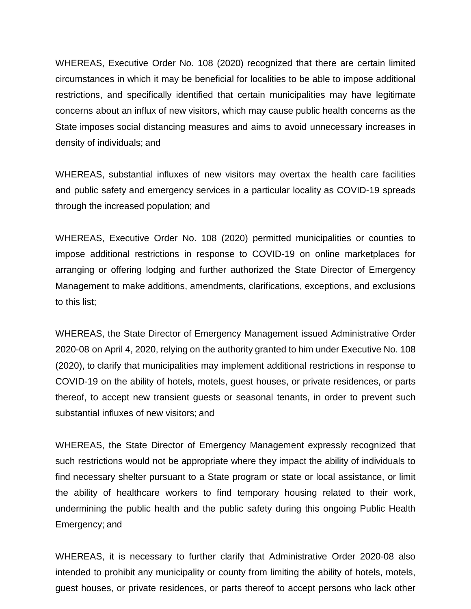WHEREAS, Executive Order No. 108 (2020) recognized that there are certain limited circumstances in which it may be beneficial for localities to be able to impose additional restrictions, and specifically identified that certain municipalities may have legitimate concerns about an influx of new visitors, which may cause public health concerns as the State imposes social distancing measures and aims to avoid unnecessary increases in density of individuals; and

WHEREAS, substantial influxes of new visitors may overtax the health care facilities and public safety and emergency services in a particular locality as COVID-19 spreads through the increased population; and

WHEREAS, Executive Order No. 108 (2020) permitted municipalities or counties to impose additional restrictions in response to COVID-19 on online marketplaces for arranging or offering lodging and further authorized the State Director of Emergency Management to make additions, amendments, clarifications, exceptions, and exclusions to this list;

WHEREAS, the State Director of Emergency Management issued Administrative Order 2020-08 on April 4, 2020, relying on the authority granted to him under Executive No. 108 (2020), to clarify that municipalities may implement additional restrictions in response to COVID-19 on the ability of hotels, motels, guest houses, or private residences, or parts thereof, to accept new transient guests or seasonal tenants, in order to prevent such substantial influxes of new visitors; and

WHEREAS, the State Director of Emergency Management expressly recognized that such restrictions would not be appropriate where they impact the ability of individuals to find necessary shelter pursuant to a State program or state or local assistance, or limit the ability of healthcare workers to find temporary housing related to their work, undermining the public health and the public safety during this ongoing Public Health Emergency; and

WHEREAS, it is necessary to further clarify that Administrative Order 2020-08 also intended to prohibit any municipality or county from limiting the ability of hotels, motels, guest houses, or private residences, or parts thereof to accept persons who lack other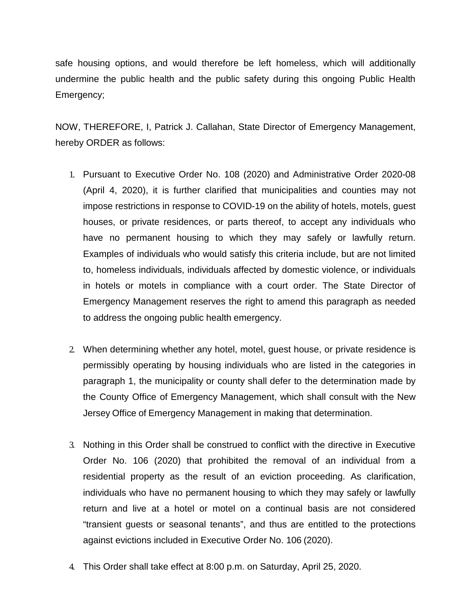safe housing options, and would therefore be left homeless, which will additionally undermine the public health and the public safety during this ongoing Public Health Emergency;

NOW, THEREFORE, I, Patrick J. Callahan, State Director of Emergency Management, hereby ORDER as follows:

- 1. Pursuant to Executive Order No. 108 (2020) and Administrative Order 2020-08 (April 4, 2020), it is further clarified that municipalities and counties may not impose restrictions in response to COVID-19 on the ability of hotels, motels, guest houses, or private residences, or parts thereof, to accept any individuals who have no permanent housing to which they may safely or lawfully return. Examples of individuals who would satisfy this criteria include, but are not limited to, homeless individuals, individuals affected by domestic violence, or individuals in hotels or motels in compliance with a court order. The State Director of Emergency Management reserves the right to amend this paragraph as needed to address the ongoing public health emergency.
- 2. When determining whether any hotel, motel, guest house, or private residence is permissibly operating by housing individuals who are listed in the categories in paragraph 1, the municipality or county shall defer to the determination made by the County Office of Emergency Management, which shall consult with the New Jersey Office of Emergency Management in making that determination.
- 3. Nothing in this Order shall be construed to conflict with the directive in Executive Order No. 106 (2020) that prohibited the removal of an individual from a residential property as the result of an eviction proceeding. As clarification, individuals who have no permanent housing to which they may safely or lawfully return and live at a hotel or motel on a continual basis are not considered "transient guests or seasonal tenants", and thus are entitled to the protections against evictions included in Executive Order No. 106 (2020).
- 4. This Order shall take effect at 8:00 p.m. on Saturday, April 25, 2020.